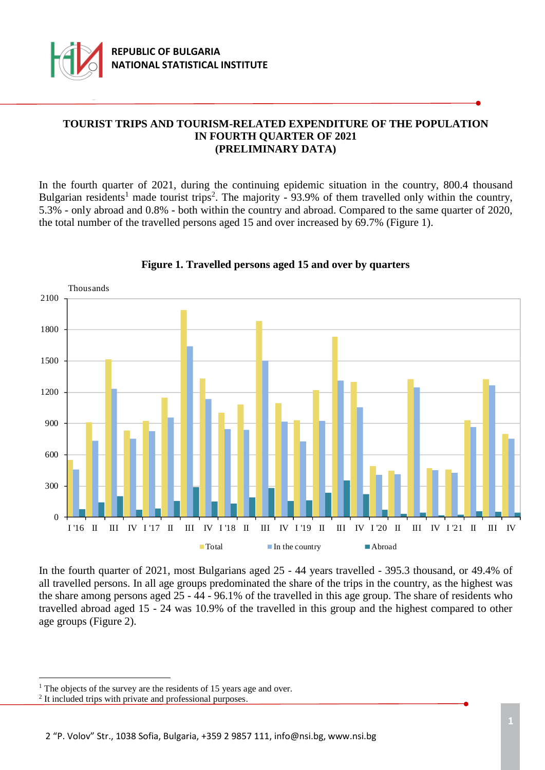

# **TOURIST TRIPS AND TOURISM-RELATED EXPENDITURE OF THE POPULATION IN FOURTH QUARTER OF 2021 (PRELIMINARY DATA)**

In the fourth quarter of 2021, during the continuing epidemic situation in the country, 800.4 thousand Bulgarian residents<sup>1</sup> made tourist trips<sup>2</sup>. The majority - 93.9% of them travelled only within the country, 5.3% - only abroad and 0.8% - both within the country and abroad. Compared to the same quarter of 2020, the total number of the travelled persons aged 15 and over increased by 69.7% (Figure 1).



## **Figure 1. Travelled persons aged 15 and over by quarters**

In the fourth quarter of 2021, most Bulgarians aged 25 - 44 years travelled - 395.3 thousand, or 49.4% of all travelled persons. In all age groups predominated the share of the trips in the country, as the highest was the share among persons aged 25 - 44 - 96.1% of the travelled in this age group. The share of residents who travelled abroad aged 15 - 24 was 10.9% of the travelled in this group and the highest compared to other age groups (Figure 2).

L,

<sup>&</sup>lt;sup>1</sup> The objects of the survey are the residents of 15 years age and over.

<sup>&</sup>lt;sup>2</sup> It included trips with private and professional purposes.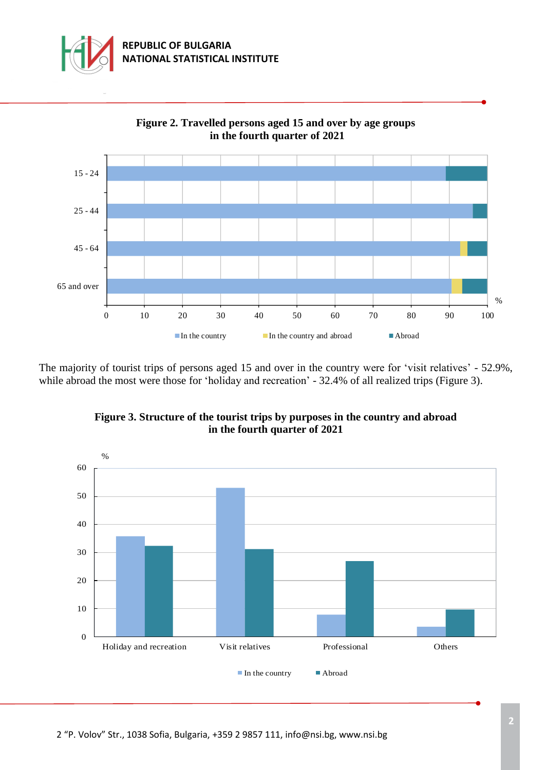



**Figure 2. Travelled persons aged 15 and over by age groups**

The majority of tourist trips of persons aged 15 and over in the country were for 'visit relatives' - 52.9%, while abroad the most were those for 'holiday and recreation' - 32.4% of all realized trips (Figure 3).



## **Figure 3. Structure of the tourist trips by purposes in the country and abroad in the fourth quarter of 2021**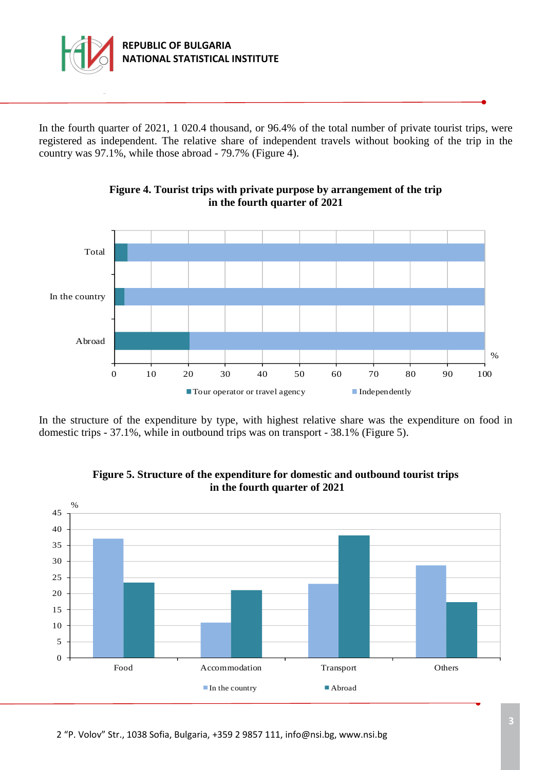

In the fourth quarter of 2021, 1 020.4 thousand, or 96.4% of the total number of private tourist trips, were registered as independent. The relative share of independent travels without booking of the trip in the country was 97.1%, while those abroad - 79.7% (Figure 4).





In the structure of the expenditure by type, with highest relative share was the expenditure on food in domestic trips - 37.1%, while in outbound trips was on transport - 38.1% (Figure 5).



## **Figure 5. Structure of the expenditure for domestic and outbound tourist trips in the fourth quarter of 2021**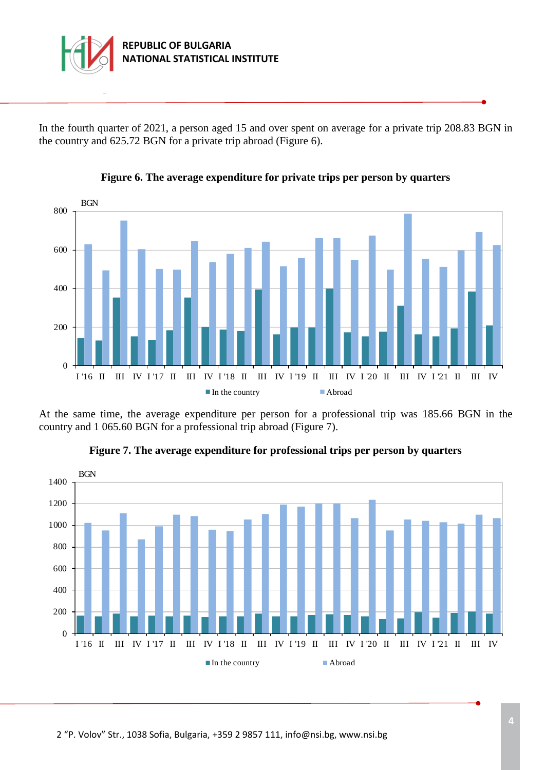

In the fourth quarter of 2021, a person aged 15 and over spent on average for a private trip 208.83 BGN in the country and 625.72 BGN for a private trip abroad (Figure 6).



**Figure 6. The average expenditure for private trips per person by quarters**

At the same time, the average expenditure per person for a professional trip was 185.66 BGN in the country and 1 065.60 BGN for a professional trip abroad (Figure 7).



**Figure 7. The average expenditure for professional trips per person by quarters**